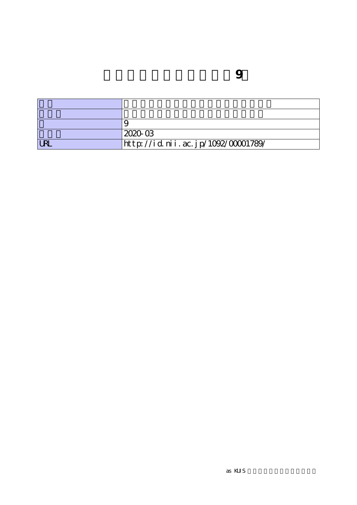|            | 2020-03                            |
|------------|------------------------------------|
| <b>URL</b> | http://id.nii.ac.jp/1092/00001789/ |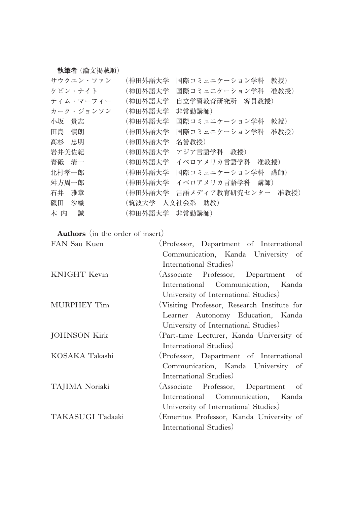**執筆者**(論文掲載順)

| サウクエン・ファン  | (神田外語大学         | 国際コミュニケーション学科<br>教授)  |
|------------|-----------------|-----------------------|
| ケビン・ナイト    | (神田外語大学         | 国際コミュニケーション学科<br>准教授) |
| ティム・マーフィー  | (神田外語大学         | 自立学習教育研究所 客員教授)       |
| カーク・ジョンソン  | (神田外語大学         | 非常勤講師)                |
| 小坂<br>貴志   | (神田外語大学         | 国際コミュニケーション学科<br>教授)  |
| 田島<br>慎朗   | (神田外語大学         | 准教授)<br>国際コミュニケーション学科 |
| 髙杉<br>- 忠明 | (神田外語大学         | 名誉教授)                 |
| 岩井美佐紀      | (神田外語大学         | アジア言語学科 教授)           |
| 青砥 清一      | (神田外語大学         | イベロアメリカ言語学科<br>准教授)   |
| 北村孝一郎      | (神田外語大学         | 国際コミュニケーション学科<br>講師)  |
| 舛方周一郎      | (神田外語大学         | イベロアメリカ言語学科<br>講師)    |
| 石井<br>雅章   | (神田外語大学         | 言語メディア教育研究センター 准教授)   |
| 沙織<br>磯田   | (筑波大学 人文社会系 助教) |                       |
| 誠<br>木 内   | (神田外語大学 非常勤講師)  |                       |

**Authors** (in the order of insert)

| FAN Sau Kuen        | (Professor, Department of International     |
|---------------------|---------------------------------------------|
|                     | Communication, Kanda University of          |
|                     | International Studies)                      |
| <b>KNIGHT</b> Kevin | (Associate Professor, Department of         |
|                     | International Communication, Kanda          |
|                     | University of International Studies)        |
| MURPHEY Tim         | (Visiting Professor, Research Institute for |
|                     | Learner Autonomy Education, Kanda           |
|                     | University of International Studies)        |
| <b>JOHNSON Kirk</b> | (Part-time Lecturer, Kanda University of    |
|                     | International Studies)                      |
| KOSAKA Takashi      | (Professor, Department of International     |
|                     | Communication, Kanda University of          |
|                     | International Studies)                      |
| TAJIMA Noriaki      | (Associate Professor, Department<br>of      |
|                     | International Communication, Kanda          |
|                     | University of International Studies)        |
| TAKASUGI Tadaaki    | (Emeritus Professor, Kanda University of    |
|                     | International Studies)                      |